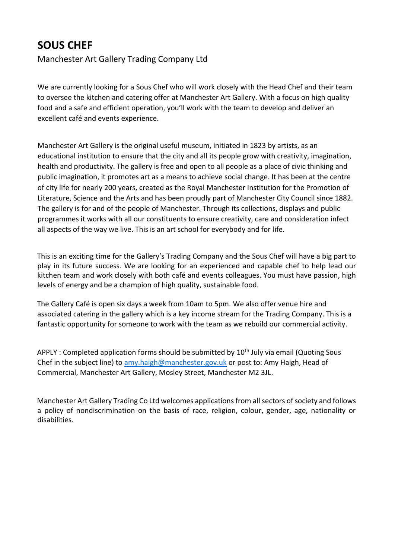## **SOUS CHEF**

Manchester Art Gallery Trading Company Ltd

We are currently looking for a Sous Chef who will work closely with the Head Chef and their team to oversee the kitchen and catering offer at Manchester Art Gallery. With a focus on high quality food and a safe and efficient operation, you'll work with the team to develop and deliver an excellent café and events experience.

Manchester Art Gallery is the original useful museum, initiated in 1823 by artists, as an educational institution to ensure that the city and all its people grow with creativity, imagination, health and productivity. The gallery is free and open to all people as a place of civic thinking and public imagination, it promotes art as a means to achieve social change. It has been at the centre of city life for nearly 200 years, created as the Royal Manchester Institution for the Promotion of Literature, Science and the Arts and has been proudly part of Manchester City Council since 1882. The gallery is for and of the people of Manchester. Through its collections, displays and public programmes it works with all our constituents to ensure creativity, care and consideration infect all aspects of the way we live. This is an art school for everybody and for life.

This is an exciting time for the Gallery's Trading Company and the Sous Chef will have a big part to play in its future success. We are looking for an experienced and capable chef to help lead our kitchen team and work closely with both café and events colleagues. You must have passion, high levels of energy and be a champion of high quality, sustainable food.

The Gallery Café is open six days a week from 10am to 5pm. We also offer venue hire and associated catering in the gallery which is a key income stream for the Trading Company. This is a fantastic opportunity for someone to work with the team as we rebuild our commercial activity.

APPLY : Completed application forms should be submitted by  $10<sup>th</sup>$  July via email (Quoting Sous Chef in the subject line) to [amy.haigh@manchester.gov.uk](mailto:amy.haigh@manchester.gov.uk) or post to: Amy Haigh, Head of Commercial, Manchester Art Gallery, Mosley Street, Manchester M2 3JL.

Manchester Art Gallery Trading Co Ltd welcomes applications from all sectors of society and follows a policy of nondiscrimination on the basis of race, religion, colour, gender, age, nationality or disabilities.